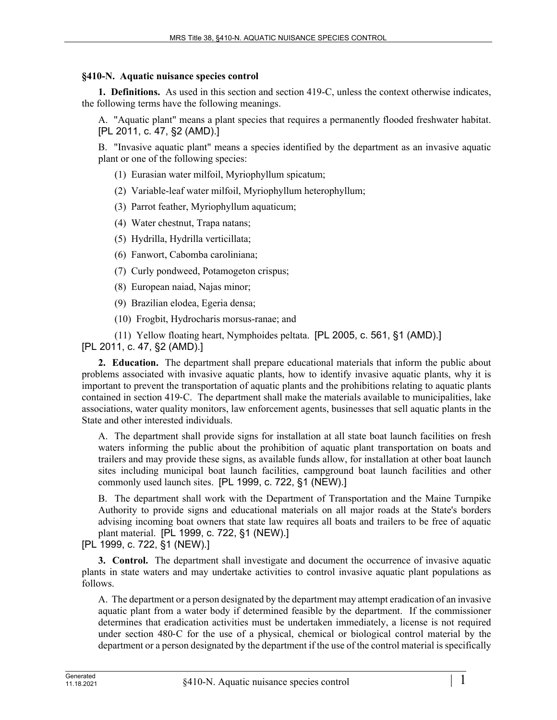## **§410-N. Aquatic nuisance species control**

**1. Definitions.** As used in this section and section 419-C, unless the context otherwise indicates, the following terms have the following meanings.

A. "Aquatic plant" means a plant species that requires a permanently flooded freshwater habitat. [PL 2011, c. 47, §2 (AMD).]

B. "Invasive aquatic plant" means a species identified by the department as an invasive aquatic plant or one of the following species:

- (1) Eurasian water milfoil, Myriophyllum spicatum;
- (2) Variable-leaf water milfoil, Myriophyllum heterophyllum;
- (3) Parrot feather, Myriophyllum aquaticum;
- (4) Water chestnut, Trapa natans;
- (5) Hydrilla, Hydrilla verticillata;
- (6) Fanwort, Cabomba caroliniana;
- (7) Curly pondweed, Potamogeton crispus;
- (8) European naiad, Najas minor;
- (9) Brazilian elodea, Egeria densa;
- (10) Frogbit, Hydrocharis morsus-ranae; and

(11) Yellow floating heart, Nymphoides peltata. [PL 2005, c. 561, §1 (AMD).]

[PL 2011, c. 47, §2 (AMD).]

**2. Education.** The department shall prepare educational materials that inform the public about problems associated with invasive aquatic plants, how to identify invasive aquatic plants, why it is important to prevent the transportation of aquatic plants and the prohibitions relating to aquatic plants contained in section 419‑C. The department shall make the materials available to municipalities, lake associations, water quality monitors, law enforcement agents, businesses that sell aquatic plants in the State and other interested individuals.

A. The department shall provide signs for installation at all state boat launch facilities on fresh waters informing the public about the prohibition of aquatic plant transportation on boats and trailers and may provide these signs, as available funds allow, for installation at other boat launch sites including municipal boat launch facilities, campground boat launch facilities and other commonly used launch sites. [PL 1999, c. 722, §1 (NEW).]

B. The department shall work with the Department of Transportation and the Maine Turnpike Authority to provide signs and educational materials on all major roads at the State's borders advising incoming boat owners that state law requires all boats and trailers to be free of aquatic plant material. [PL 1999, c. 722, §1 (NEW).]

[PL 1999, c. 722, §1 (NEW).]

**3. Control.** The department shall investigate and document the occurrence of invasive aquatic plants in state waters and may undertake activities to control invasive aquatic plant populations as follows.

A. The department or a person designated by the department may attempt eradication of an invasive aquatic plant from a water body if determined feasible by the department. If the commissioner determines that eradication activities must be undertaken immediately, a license is not required under section 480‑C for the use of a physical, chemical or biological control material by the department or a person designated by the department if the use of the control material is specifically